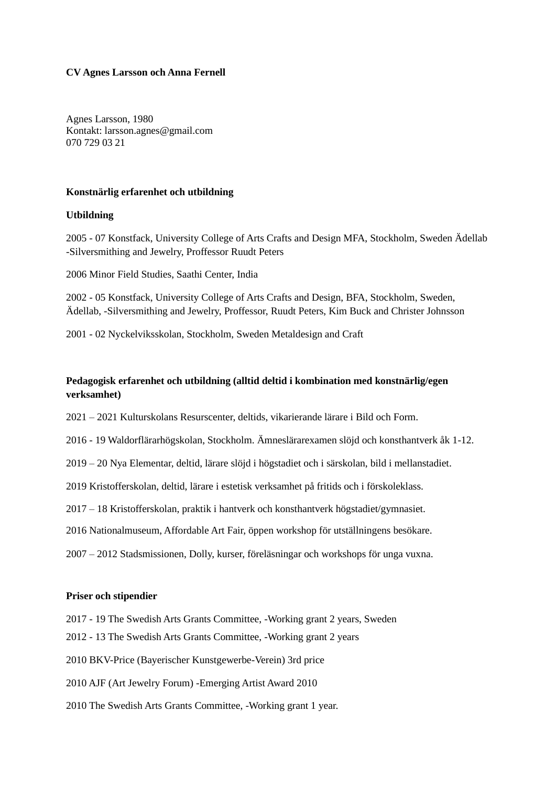#### **CV Agnes Larsson och Anna Fernell**

Agnes Larsson, 1980 Kontakt: [larsson.agnes@gmail.com](mailto:larsson.agnes@gmail.com) 070 729 03 21

#### **Konstnärlig erfarenhet och utbildning**

#### **Utbildning**

2005 - 07 Konstfack, University College of Arts Crafts and Design MFA, Stockholm, Sweden Ädellab -Silversmithing and Jewelry, Proffessor Ruudt Peters

2006 Minor Field Studies, Saathi Center, India

2002 - 05 Konstfack, University College of Arts Crafts and Design, BFA, Stockholm, Sweden, Ädellab, -Silversmithing and Jewelry, Proffessor, Ruudt Peters, Kim Buck and Christer Johnsson

2001 - 02 Nyckelviksskolan, Stockholm, Sweden Metaldesign and Craft

## **Pedagogisk erfarenhet och utbildning (alltid deltid i kombination med konstnärlig/egen verksamhet)**

2021 – 2021 Kulturskolans Resurscenter, deltids, vikarierande lärare i Bild och Form.

2016 - 19 Waldorflärarhögskolan, Stockholm. Ämneslärarexamen slöjd och konsthantverk åk 1-12.

2019 – 20 Nya Elementar, deltid, lärare slöjd i högstadiet och i särskolan, bild i mellanstadiet.

2019 Kristofferskolan, deltid, lärare i estetisk verksamhet på fritids och i förskoleklass.

2017 – 18 Kristofferskolan, praktik i hantverk och konsthantverk högstadiet/gymnasiet.

2016 Nationalmuseum, Affordable Art Fair, öppen workshop för utställningens besökare.

2007 – 2012 Stadsmissionen, Dolly, kurser, föreläsningar och workshops för unga vuxna.

#### **Priser och stipendier**

2017 - 19 The Swedish Arts Grants Committee, -Working grant 2 years, Sweden

2012 - 13 The Swedish Arts Grants Committee, -Working grant 2 years

2010 BKV-Price (Bayerischer Kunstgewerbe-Verein) 3rd price

2010 AJF (Art Jewelry Forum) -Emerging Artist Award 2010

2010 The Swedish Arts Grants Committee, -Working grant 1 year.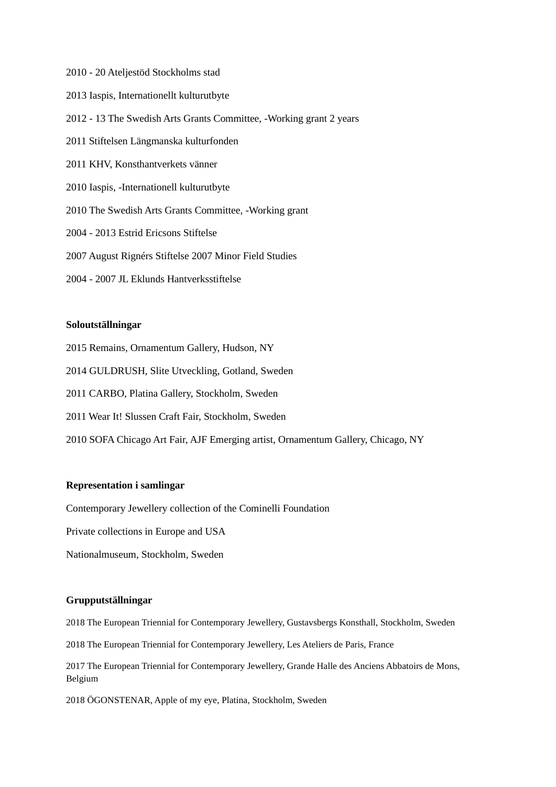- 2010 20 Ateljestöd Stockholms stad
- 2013 Iaspis, Internationellt kulturutbyte
- 2012 13 The Swedish Arts Grants Committee, -Working grant 2 years
- 2011 Stiftelsen Längmanska kulturfonden
- 2011 KHV, Konsthantverkets vänner
- 2010 Iaspis, -Internationell kulturutbyte
- 2010 The Swedish Arts Grants Committee, -Working grant
- 2004 2013 Estrid Ericsons Stiftelse
- 2007 August Rignérs Stiftelse 2007 Minor Field Studies
- 2004 2007 JL Eklunds Hantverksstiftelse

#### **Soloutställningar**

- 2015 Remains, Ornamentum Gallery, Hudson, NY
- 2014 GULDRUSH, Slite Utveckling, Gotland, Sweden
- 2011 CARBO, Platina Gallery, Stockholm, Sweden
- 2011 Wear It! Slussen Craft Fair, Stockholm, Sweden
- 2010 SOFA Chicago Art Fair, AJF Emerging artist, Ornamentum Gallery, Chicago, NY

#### **Representation i samlingar**

Contemporary Jewellery collection of the Cominelli Foundation

Private collections in Europe and USA

Nationalmuseum, Stockholm, Sweden

#### **Grupputställningar**

2018 The European Triennial for Contemporary Jewellery, Gustavsbergs Konsthall, Stockholm, Sweden

2018 The European Triennial for Contemporary Jewellery, Les Ateliers de Paris, France

2017 The European Triennial for Contemporary Jewellery, Grande Halle des Anciens Abbatoirs de Mons, Belgium

2018 ÖGONSTENAR, Apple of my eye, Platina, Stockholm, Sweden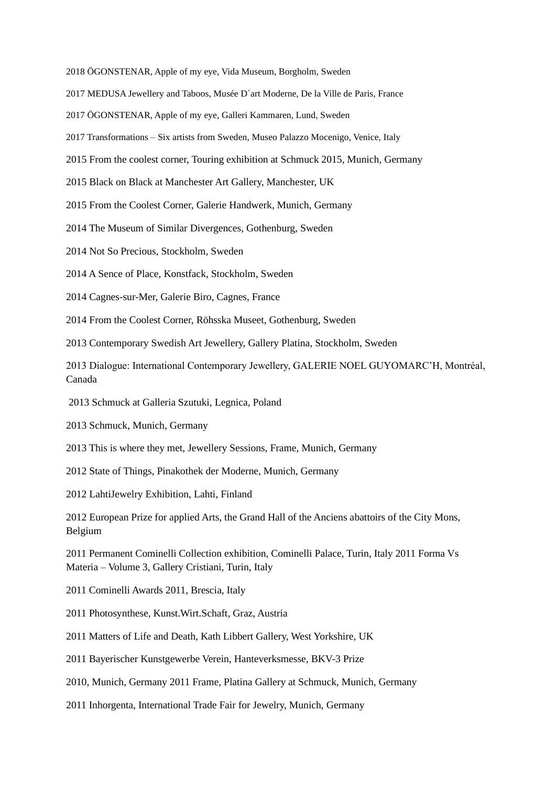2018 ÖGONSTENAR, Apple of my eye, Vida Museum, Borgholm, Sweden

2017 MEDUSA Jewellery and Taboos, Musée D´art Moderne, De la Ville de Paris, France

2017 ÖGONSTENAR, Apple of my eye, Galleri Kammaren, Lund, Sweden

2017 Transformations – Six artists from Sweden, Museo Palazzo Mocenigo, Venice, Italy

2015 From the coolest corner, Touring exhibition at Schmuck 2015, Munich, Germany

2015 Black on Black at Manchester Art Gallery, Manchester, UK

2015 From the Coolest Corner, Galerie Handwerk, Munich, Germany

2014 The Museum of Similar Divergences, Gothenburg, Sweden

2014 Not So Precious, Stockholm, Sweden

2014 A Sence of Place, Konstfack, Stockholm, Sweden

2014 Cagnes-sur-Mer, Galerie Biro, Cagnes, France

2014 From the Coolest Corner, Röhsska Museet, Gothenburg, Sweden

2013 Contemporary Swedish Art Jewellery, Gallery Platina, Stockholm, Sweden

2013 Dialogue: International Contemporary Jewellery, GALERIE NOEL GUYOMARC'H, Montréal, Canada

2013 Schmuck at Galleria Szutuki, Legnica, Poland

2013 Schmuck, Munich, Germany

2013 This is where they met, Jewellery Sessions, Frame, Munich, Germany

2012 State of Things, Pinakothek der Moderne, Munich, Germany

2012 LahtiJewelry Exhibition, Lahti, Finland

2012 European Prize for applied Arts, the Grand Hall of the Anciens abattoirs of the City Mons, Belgium

2011 Permanent Cominelli Collection exhibition, Cominelli Palace, Turin, Italy 2011 Forma Vs Materia – Volume 3, Gallery Cristiani, Turin, Italy

2011 Cominelli Awards 2011, Brescia, Italy

2011 Photosynthese, Kunst.Wirt.Schaft, Graz, Austria

2011 Matters of Life and Death, Kath Libbert Gallery, West Yorkshire, UK

2011 Bayerischer Kunstgewerbe Verein, Hanteverksmesse, BKV-3 Prize

2010, Munich, Germany 2011 Frame, Platina Gallery at Schmuck, Munich, Germany

2011 Inhorgenta, International Trade Fair for Jewelry, Munich, Germany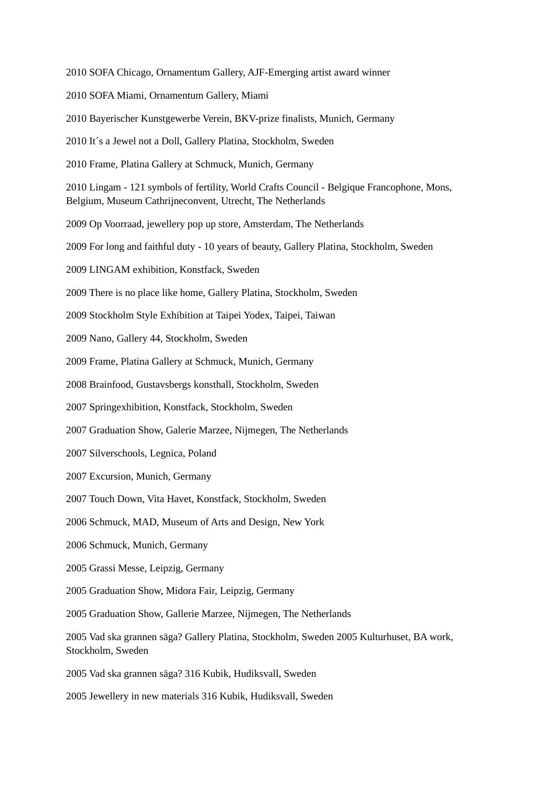2010 SOFA Chicago, Ornamentum Gallery, AJF-Emerging artist award winner 2010 SOFA Miami, Ornamentum Gallery, Miami 2010 Bayerischer Kunstgewerbe Verein, BKV-prize finalists, Munich, Germany 2010 It´s a Jewel not a Doll, Gallery Platina, Stockholm, Sweden 2010 Frame, Platina Gallery at Schmuck, Munich, Germany 2010 Lingam - 121 symbols of fertility, World Crafts Council - Belgique Francophone, Mons, Belgium, Museum Cathrijneconvent, Utrecht, The Netherlands 2009 Op Voorraad, jewellery pop up store, Amsterdam, The Netherlands 2009 For long and faithful duty - 10 years of beauty, Gallery Platina, Stockholm, Sweden 2009 LINGAM exhibition, Konstfack, Sweden 2009 There is no place like home, Gallery Platina, Stockholm, Sweden 2009 Stockholm Style Exhibition at Taipei Yodex, Taipei, Taiwan 2009 Nano, Gallery 44, Stockholm, Sweden 2009 Frame, Platina Gallery at Schmuck, Munich, Germany 2008 Brainfood, Gustavsbergs konsthall, Stockholm, Sweden 2007 Springexhibition, Konstfack, Stockholm, Sweden 2007 Graduation Show, Galerie Marzee, Nijmegen, The Netherlands 2007 Silverschools, Legnica, Poland 2007 Excursion, Munich, Germany 2007 Touch Down, Vita Havet, Konstfack, Stockholm, Sweden 2006 Schmuck, MAD, Museum of Arts and Design, New York 2006 Schmuck, Munich, Germany 2005 Grassi Messe, Leipzig, Germany 2005 Graduation Show, Midora Fair, Leipzig, Germany 2005 Graduation Show, Gallerie Marzee, Nijmegen, The Netherlands 2005 Vad ska grannen säga? Gallery Platina, Stockholm, Sweden 2005 Kulturhuset, BA work, Stockholm, Sweden 2005 Vad ska grannen säga? 316 Kubik, Hudiksvall, Sweden 2005 Jewellery in new materials 316 Kubik, Hudiksvall, Sweden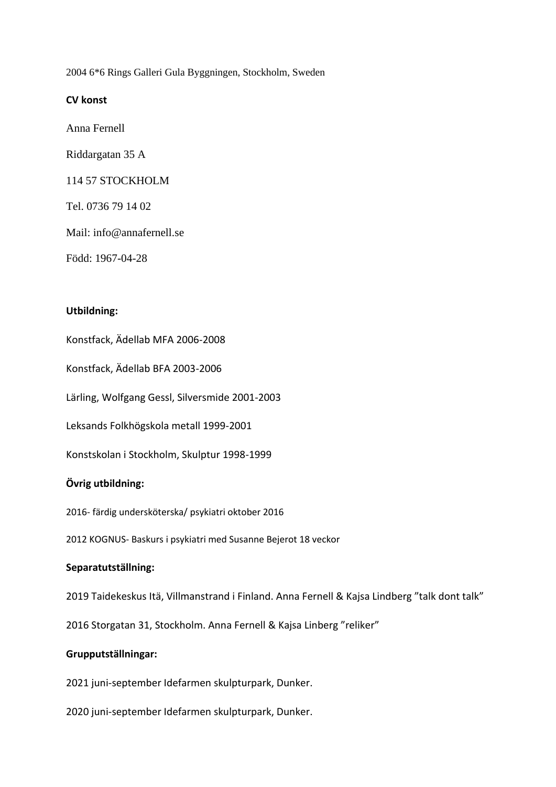2004 6\*6 Rings Galleri Gula Byggningen, Stockholm, Sweden

## **CV konst**

Anna Fernell

Riddargatan 35 A

114 57 STOCKHOLM

Tel. 0736 79 14 02

Mail: info@annafernell.se

Född: 1967-04-28

## **Utbildning:**

Konstfack, Ädellab MFA 2006-2008

Konstfack, Ädellab BFA 2003-2006

Lärling, Wolfgang Gessl, Silversmide 2001-2003

Leksands Folkhögskola metall 1999-2001

Konstskolan i Stockholm, Skulptur 1998-1999

# **Övrig utbildning:**

2016- färdig undersköterska/ psykiatri oktober 2016

2012 KOGNUS- Baskurs i psykiatri med Susanne Bejerot 18 veckor

# **Separatutställning:**

2019 Taidekeskus Itä, Villmanstrand i Finland. Anna Fernell & Kajsa Lindberg "talk dont talk"

2016 Storgatan 31, Stockholm. Anna Fernell & Kajsa Linberg "reliker"

## **Grupputställningar:**

2021 juni-september Idefarmen skulpturpark, Dunker.

2020 juni-september Idefarmen skulpturpark, Dunker.